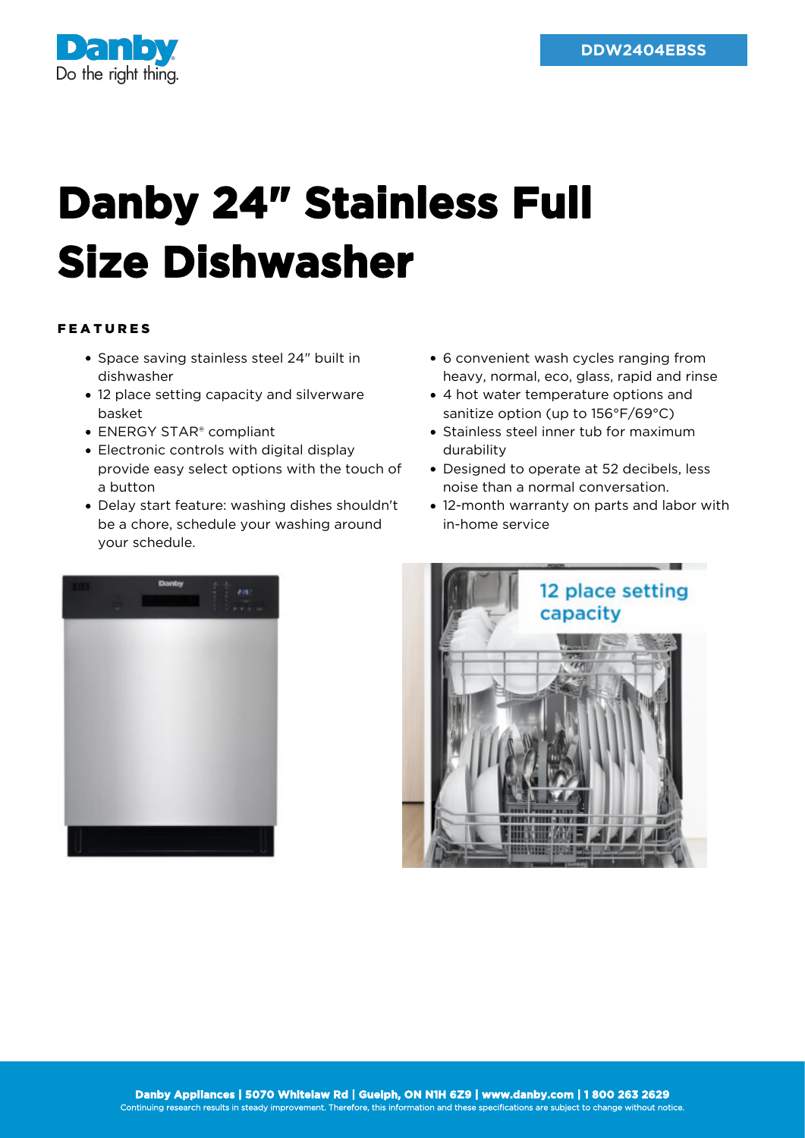

## **Danby 24" Stainless Full Size Dishwasher**

## FEATURES

- Space saving stainless steel 24" built in dishwasher
- 12 place setting capacity and silverware basket
- ENERGY STAR® compliant
- Electronic controls with digital display provide easy select options with the touch of a button
- Delay start feature: washing dishes shouldn't be a chore, schedule your washing around your schedule.
- 6 convenient wash cycles ranging from heavy, normal, eco, glass, rapid and rinse
- 4 hot water temperature options and sanitize option (up to 156°F/69°C)
- Stainless steel inner tub for maximum durability
- Designed to operate at 52 decibels, less noise than a normal conversation.
- 12-month warranty on parts and labor with in-home service